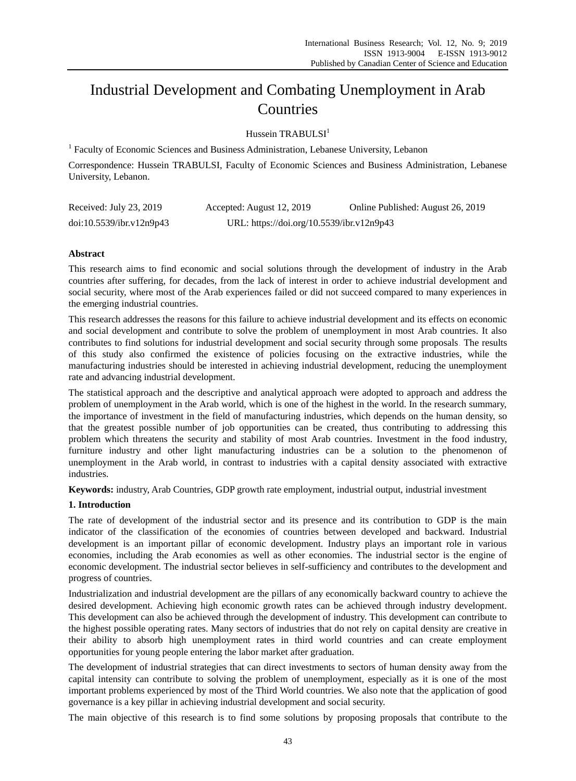# Industrial Development and Combating Unemployment in Arab Countries

Hussein TRABULSI<sup>1</sup>

<sup>1</sup> Faculty of Economic Sciences and Business Administration, Lebanese University, Lebanon

Correspondence: Hussein TRABULSI, Faculty of Economic Sciences and Business Administration, Lebanese University, Lebanon.

| Received: July 23, 2019  | Accepted: August 12, 2019                 | Online Published: August 26, 2019 |
|--------------------------|-------------------------------------------|-----------------------------------|
| doi:10.5539/ibr.v12n9p43 | URL: https://doi.org/10.5539/ibr.v12n9p43 |                                   |

# **Abstract**

This research aims to find economic and social solutions through the development of industry in the Arab countries after suffering, for decades, from the lack of interest in order to achieve industrial development and social security, where most of the Arab experiences failed or did not succeed compared to many experiences in the emerging industrial countries.

This research addresses the reasons for this failure to achieve industrial development and its effects on economic and social development and contribute to solve the problem of unemployment in most Arab countries. It also contributes to find solutions for industrial development and social security through some proposals. The results of this study also confirmed the existence of policies focusing on the extractive industries, while the manufacturing industries should be interested in achieving industrial development, reducing the unemployment rate and advancing industrial development.

The statistical approach and the descriptive and analytical approach were adopted to approach and address the problem of unemployment in the Arab world, which is one of the highest in the world. In the research summary, the importance of investment in the field of manufacturing industries, which depends on the human density, so that the greatest possible number of job opportunities can be created, thus contributing to addressing this problem which threatens the security and stability of most Arab countries. Investment in the food industry, furniture industry and other light manufacturing industries can be a solution to the phenomenon of unemployment in the Arab world, in contrast to industries with a capital density associated with extractive industries.

**Keywords:** industry, Arab Countries, GDP growth rate employment, industrial output, industrial investment

# **1. Introduction**

The rate of development of the industrial sector and its presence and its contribution to GDP is the main indicator of the classification of the economies of countries between developed and backward. Industrial development is an important pillar of economic development. Industry plays an important role in various economies, including the Arab economies as well as other economies. The industrial sector is the engine of economic development. The industrial sector believes in self-sufficiency and contributes to the development and progress of countries.

Industrialization and industrial development are the pillars of any economically backward country to achieve the desired development. Achieving high economic growth rates can be achieved through industry development. This development can also be achieved through the development of industry. This development can contribute to the highest possible operating rates. Many sectors of industries that do not rely on capital density are creative in their ability to absorb high unemployment rates in third world countries and can create employment opportunities for young people entering the labor market after graduation.

The development of industrial strategies that can direct investments to sectors of human density away from the capital intensity can contribute to solving the problem of unemployment, especially as it is one of the most important problems experienced by most of the Third World countries. We also note that the application of good governance is a key pillar in achieving industrial development and social security.

The main objective of this research is to find some solutions by proposing proposals that contribute to the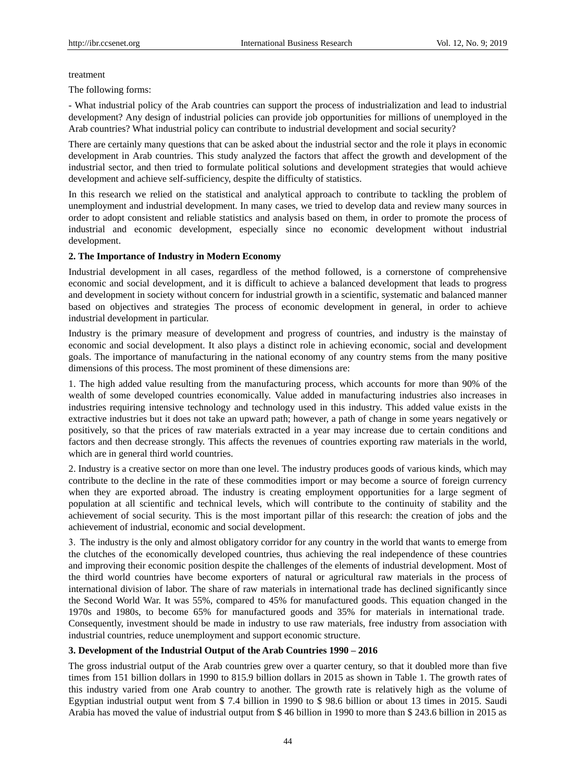#### treatment

The following forms:

- What industrial policy of the Arab countries can support the process of industrialization and lead to industrial development? Any design of industrial policies can provide job opportunities for millions of unemployed in the Arab countries? What industrial policy can contribute to industrial development and social security?

There are certainly many questions that can be asked about the industrial sector and the role it plays in economic development in Arab countries. This study analyzed the factors that affect the growth and development of the industrial sector, and then tried to formulate political solutions and development strategies that would achieve development and achieve self-sufficiency, despite the difficulty of statistics.

In this research we relied on the statistical and analytical approach to contribute to tackling the problem of unemployment and industrial development. In many cases, we tried to develop data and review many sources in order to adopt consistent and reliable statistics and analysis based on them, in order to promote the process of industrial and economic development, especially since no economic development without industrial development.

#### **2. The Importance of Industry in Modern Economy**

Industrial development in all cases, regardless of the method followed, is a cornerstone of comprehensive economic and social development, and it is difficult to achieve a balanced development that leads to progress and development in society without concern for industrial growth in a scientific, systematic and balanced manner based on objectives and strategies The process of economic development in general, in order to achieve industrial development in particular.

Industry is the primary measure of development and progress of countries, and industry is the mainstay of economic and social development. It also plays a distinct role in achieving economic, social and development goals. The importance of manufacturing in the national economy of any country stems from the many positive dimensions of this process. The most prominent of these dimensions are:

1. The high added value resulting from the manufacturing process, which accounts for more than 90% of the wealth of some developed countries economically. Value added in manufacturing industries also increases in industries requiring intensive technology and technology used in this industry. This added value exists in the extractive industries but it does not take an upward path; however, a path of change in some years negatively or positively, so that the prices of raw materials extracted in a year may increase due to certain conditions and factors and then decrease strongly. This affects the revenues of countries exporting raw materials in the world, which are in general third world countries.

2. Industry is a creative sector on more than one level. The industry produces goods of various kinds, which may contribute to the decline in the rate of these commodities import or may become a source of foreign currency when they are exported abroad. The industry is creating employment opportunities for a large segment of population at all scientific and technical levels, which will contribute to the continuity of stability and the achievement of social security. This is the most important pillar of this research: the creation of jobs and the achievement of industrial, economic and social development.

3. The industry is the only and almost obligatory corridor for any country in the world that wants to emerge from the clutches of the economically developed countries, thus achieving the real independence of these countries and improving their economic position despite the challenges of the elements of industrial development. Most of the third world countries have become exporters of natural or agricultural raw materials in the process of international division of labor. The share of raw materials in international trade has declined significantly since the Second World War. It was 55%, compared to 45% for manufactured goods. This equation changed in the 1970s and 1980s, to become 65% for manufactured goods and 35% for materials in international trade. Consequently, investment should be made in industry to use raw materials, free industry from association with industrial countries, reduce unemployment and support economic structure.

# **3. Development of the Industrial Output of the Arab Countries 1990 – 2016**

The gross industrial output of the Arab countries grew over a quarter century, so that it doubled more than five times from 151 billion dollars in 1990 to 815.9 billion dollars in 2015 as shown in Table 1. The growth rates of this industry varied from one Arab country to another. The growth rate is relatively high as the volume of Egyptian industrial output went from \$ 7.4 billion in 1990 to \$ 98.6 billion or about 13 times in 2015. Saudi Arabia has moved the value of industrial output from \$ 46 billion in 1990 to more than \$ 243.6 billion in 2015 as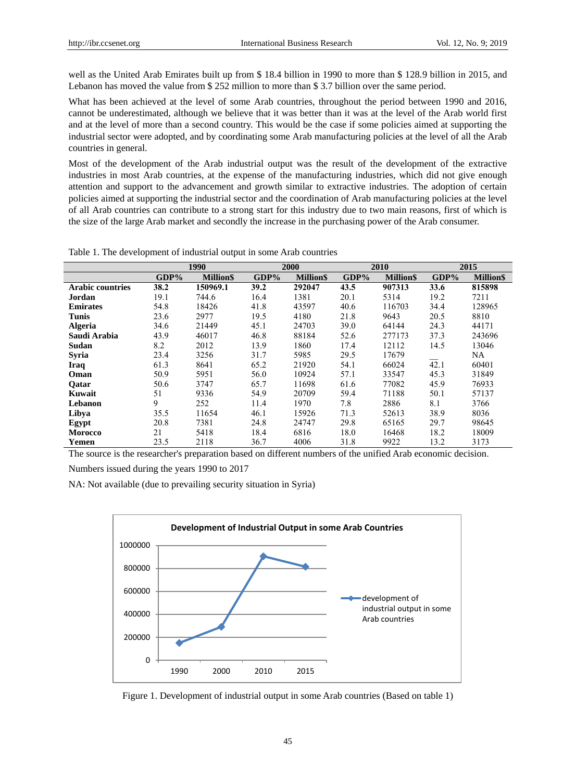well as the United Arab Emirates built up from \$ 18.4 billion in 1990 to more than \$ 128.9 billion in 2015, and Lebanon has moved the value from \$ 252 million to more than \$ 3.7 billion over the same period.

What has been achieved at the level of some Arab countries, throughout the period between 1990 and 2016, cannot be underestimated, although we believe that it was better than it was at the level of the Arab world first and at the level of more than a second country. This would be the case if some policies aimed at supporting the industrial sector were adopted, and by coordinating some Arab manufacturing policies at the level of all the Arab countries in general.

Most of the development of the Arab industrial output was the result of the development of the extractive industries in most Arab countries, at the expense of the manufacturing industries, which did not give enough attention and support to the advancement and growth similar to extractive industries. The adoption of certain policies aimed at supporting the industrial sector and the coordination of Arab manufacturing policies at the level of all Arab countries can contribute to a strong start for this industry due to two main reasons, first of which is the size of the large Arab market and secondly the increase in the purchasing power of the Arab consumer.

|                         | 1990    |                 |         | 2000            |         | 2010            |         | 2015            |  |
|-------------------------|---------|-----------------|---------|-----------------|---------|-----------------|---------|-----------------|--|
|                         | $GDP\%$ | <b>MillionS</b> | $GDP\%$ | <b>MillionS</b> | $GDP\%$ | <b>MillionS</b> | $GDP\%$ | <b>MillionS</b> |  |
| <b>Arabic countries</b> | 38.2    | 150969.1        | 39.2    | 292047          | 43.5    | 907313          | 33.6    | 815898          |  |
| Jordan                  | 19.1    | 744.6           | 16.4    | 1381            | 20.1    | 5314            | 19.2    | 7211            |  |
| <b>Emirates</b>         | 54.8    | 18426           | 41.8    | 43597           | 40.6    | 116703          | 34.4    | 128965          |  |
| Tunis                   | 23.6    | 2977            | 19.5    | 4180            | 21.8    | 9643            | 20.5    | 8810            |  |
| <b>Algeria</b>          | 34.6    | 21449           | 45.1    | 24703           | 39.0    | 64144           | 24.3    | 44171           |  |
| Saudi Arabia            | 43.9    | 46017           | 46.8    | 88184           | 52.6    | 277173          | 37.3    | 243696          |  |
| Sudan                   | 8.2     | 2012            | 13.9    | 1860            | 17.4    | 12112           | 14.5    | 13046           |  |
| Syria                   | 23.4    | 3256            | 31.7    | 5985            | 29.5    | 17679           |         | NA              |  |
| Iraq                    | 61.3    | 8641            | 65.2    | 21920           | 54.1    | 66024           | 42.1    | 60401           |  |
| Oman                    | 50.9    | 5951            | 56.0    | 10924           | 57.1    | 33547           | 45.3    | 31849           |  |
| <b>Oatar</b>            | 50.6    | 3747            | 65.7    | 11698           | 61.6    | 77082           | 45.9    | 76933           |  |
| Kuwait                  | 51      | 9336            | 54.9    | 20709           | 59.4    | 71188           | 50.1    | 57137           |  |
| Lebanon                 | 9       | 252             | 11.4    | 1970            | 7.8     | 2886            | 8.1     | 3766            |  |
| Libya                   | 35.5    | 11654           | 46.1    | 15926           | 71.3    | 52613           | 38.9    | 8036            |  |
| Egypt                   | 20.8    | 7381            | 24.8    | 24747           | 29.8    | 65165           | 29.7    | 98645           |  |
| <b>Morocco</b>          | 21      | 5418            | 18.4    | 6816            | 18.0    | 16468           | 18.2    | 18009           |  |
| Yemen                   | 23.5    | 2118            | 36.7    | 4006            | 31.8    | 9922            | 13.2    | 3173            |  |

Table 1. The development of industrial output in some Arab countries

The source is the researcher's preparation based on different numbers of the unified Arab economic decision.

Numbers issued during the years 1990 to 2017

NA: Not available (due to prevailing security situation in Syria)



Figure 1. Development of industrial output in some Arab countries (Based on table 1)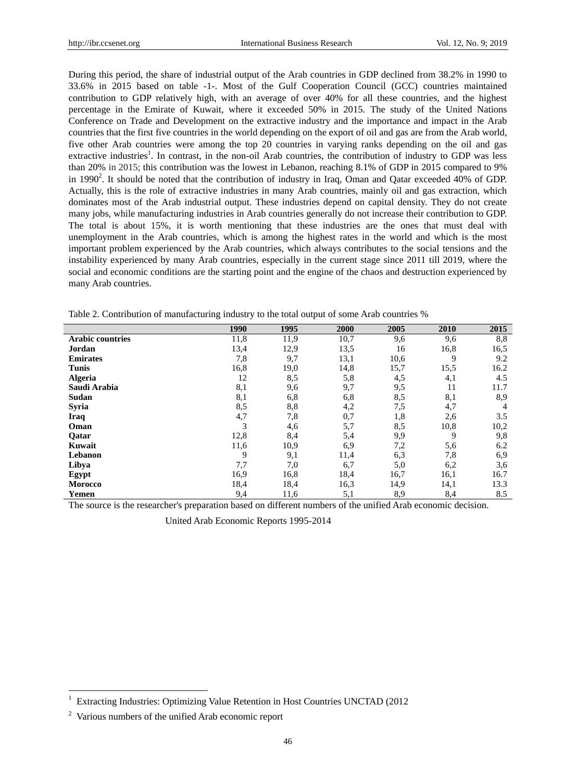During this period, the share of industrial output of the Arab countries in GDP declined from 38.2% in 1990 to 33.6% in 2015 based on table -1-. Most of the Gulf Cooperation Council (GCC) countries maintained contribution to GDP relatively high, with an average of over 40% for all these countries, and the highest percentage in the Emirate of Kuwait, where it exceeded 50% in 2015. The study of the United Nations Conference on Trade and Development on the extractive industry and the importance and impact in the Arab countries that the first five countries in the world depending on the export of oil and gas are from the Arab world, five other Arab countries were among the top 20 countries in varying ranks depending on the oil and gas extractive industries<sup>1</sup>. In contrast, in the non-oil Arab countries, the contribution of industry to GDP was less than 20% in 2015; this contribution was the lowest in Lebanon, reaching 8.1% of GDP in 2015 compared to 9% in 1990<sup>2</sup>. It should be noted that the contribution of industry in Iraq, Oman and Qatar exceeded 40% of GDP. Actually, this is the role of extractive industries in many Arab countries, mainly oil and gas extraction, which dominates most of the Arab industrial output. These industries depend on capital density. They do not create many jobs, while manufacturing industries in Arab countries generally do not increase their contribution to GDP. The total is about 15%, it is worth mentioning that these industries are the ones that must deal with unemployment in the Arab countries, which is among the highest rates in the world and which is the most important problem experienced by the Arab countries, which always contributes to the social tensions and the instability experienced by many Arab countries, especially in the current stage since 2011 till 2019, where the social and economic conditions are the starting point and the engine of the chaos and destruction experienced by many Arab countries.

|                         | 1990 | 1995 | 2000 | 2005 | 2010 | 2015           |
|-------------------------|------|------|------|------|------|----------------|
| <b>Arabic countries</b> | 11,8 | 11,9 | 10,7 | 9,6  | 9,6  | 8,8            |
| Jordan                  | 13,4 | 12,9 | 13,5 | 16   | 16,8 | 16,5           |
| <b>Emirates</b>         | 7,8  | 9,7  | 13,1 | 10,6 | 9    | 9.2            |
| <b>Tunis</b>            | 16,8 | 19,0 | 14,8 | 15,7 | 15,5 | 16.2           |
| <b>Algeria</b>          | 12   | 8,5  | 5,8  | 4,5  | 4,1  | 4.5            |
| Saudi Arabia            | 8,1  | 9,6  | 9,7  | 9,5  | 11   | 11.7           |
| Sudan                   | 8,1  | 6,8  | 6,8  | 8,5  | 8,1  | 8,9            |
| Syria                   | 8,5  | 8,8  | 4,2  | 7,5  | 4,7  | $\overline{4}$ |
| Iraq                    | 4,7  | 7,8  | 0,7  | 1,8  | 2,6  | 3.5            |
| Oman                    | 3    | 4,6  | 5,7  | 8,5  | 10,8 | 10,2           |
| Oatar                   | 12,8 | 8,4  | 5,4  | 9,9  | 9    | 9,8            |
| Kuwait                  | 11,6 | 10,9 | 6,9  | 7,2  | 5,6  | 6.2            |
| Lebanon                 | 9    | 9,1  | 11,4 | 6,3  | 7,8  | 6,9            |
| Libya                   | 7,7  | 7,0  | 6,7  | 5,0  | 6,2  | 3,6            |
| Egypt                   | 16,9 | 16,8 | 18,4 | 16,7 | 16,1 | 16.7           |
| Morocco                 | 18,4 | 18,4 | 16,3 | 14,9 | 14,1 | 13.3           |
| Yemen                   | 9,4  | 11,6 | 5,1  | 8,9  | 8,4  | 8.5            |

Table 2. Contribution of manufacturing industry to the total output of some Arab countries %

The source is the researcher's preparation based on different numbers of the unified Arab economic decision.

United Arab Economic Reports 1995-2014

-

<sup>1</sup> Extracting Industries: Optimizing Value Retention in Host Countries UNCTAD (2012

<sup>2</sup> Various numbers of the unified Arab economic report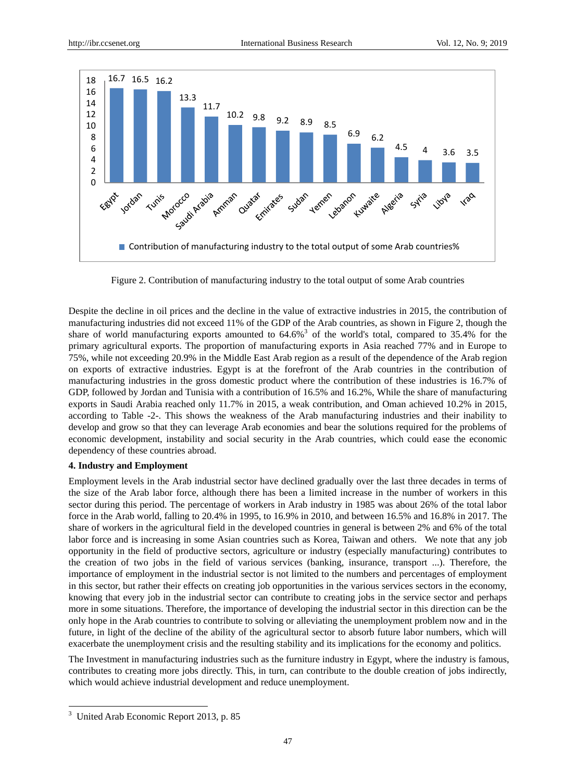

Figure 2. Contribution of manufacturing industry to the total output of some Arab countries

Despite the decline in oil prices and the decline in the value of extractive industries in 2015, the contribution of manufacturing industries did not exceed 11% of the GDP of the Arab countries, as shown in Figure 2, though the share of world manufacturing exports amounted to  $64.6\%$ <sup>3</sup> of the world's total, compared to 35.4% for the primary agricultural exports. The proportion of manufacturing exports in Asia reached 77% and in Europe to 75%, while not exceeding 20.9% in the Middle East Arab region as a result of the dependence of the Arab region on exports of extractive industries. Egypt is at the forefront of the Arab countries in the contribution of manufacturing industries in the gross domestic product where the contribution of these industries is 16.7% of GDP, followed by Jordan and Tunisia with a contribution of 16.5% and 16.2%, While the share of manufacturing exports in Saudi Arabia reached only 11.7% in 2015, a weak contribution, and Oman achieved 10.2% in 2015, according to Table -2-. This shows the weakness of the Arab manufacturing industries and their inability to develop and grow so that they can leverage Arab economies and bear the solutions required for the problems of economic development, instability and social security in the Arab countries, which could ease the economic dependency of these countries abroad.

# **4. Industry and Employment**

Employment levels in the Arab industrial sector have declined gradually over the last three decades in terms of the size of the Arab labor force, although there has been a limited increase in the number of workers in this sector during this period. The percentage of workers in Arab industry in 1985 was about 26% of the total labor force in the Arab world, falling to 20.4% in 1995, to 16.9% in 2010, and between 16.5% and 16.8% in 2011. The share of workers in the agricultural field in the developed countries in general is between 2% and 6% of the total labor force and is increasing in some Asian countries such as Korea, Taiwan and others. We note that any job opportunity in the field of productive sectors, agriculture or industry (especially manufacturing) contributes to the creation of two jobs in the field of various services (banking, insurance, transport ...). Therefore, the importance of employment in the industrial sector is not limited to the numbers and percentages of employment in this sector, but rather their effects on creating job opportunities in the various services sectors in the economy, knowing that every job in the industrial sector can contribute to creating jobs in the service sector and perhaps more in some situations. Therefore, the importance of developing the industrial sector in this direction can be the only hope in the Arab countries to contribute to solving or alleviating the unemployment problem now and in the future, in light of the decline of the ability of the agricultural sector to absorb future labor numbers, which will exacerbate the unemployment crisis and the resulting stability and its implications for the economy and politics.

The Investment in manufacturing industries such as the furniture industry in Egypt, where the industry is famous, contributes to creating more jobs directly. This, in turn, can contribute to the double creation of jobs indirectly, which would achieve industrial development and reduce unemployment.

-

<sup>&</sup>lt;sup>3</sup> United Arab Economic Report 2013, p. 85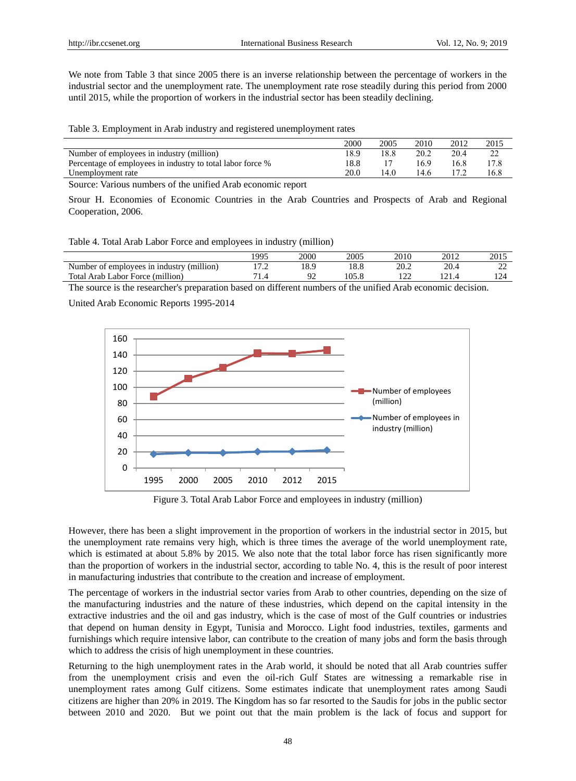We note from Table 3 that since 2005 there is an inverse relationship between the percentage of workers in the industrial sector and the unemployment rate. The unemployment rate rose steadily during this period from 2000 until 2015, while the proportion of workers in the industrial sector has been steadily declining.

Table 3. Employment in Arab industry and registered unemployment rates

|                                                            | 2000 | 2005 | 2010 | 2012 | 2015 |
|------------------------------------------------------------|------|------|------|------|------|
| Number of employees in industry (million)                  | 18.9 | 18.8 | 20.2 | 20.4 |      |
| Percentage of employees in industry to total labor force % | 18.8 |      | 16.9 | 16.8 | 17.8 |
| Unemployment rate                                          | 20.0 | 14.0 | 14.6 |      | 16.8 |

Source: Various numbers of the unified Arab economic report

Srour H. Economies of Economic Countries in the Arab Countries and Prospects of Arab and Regional Cooperation, 2006.

Table 4. Total Arab Labor Force and employees in industry (million)

|                                           | .995 | 2000 | 2005 | 2010 | 2012 | 2015 |
|-------------------------------------------|------|------|------|------|------|------|
| Number of employees in industry (million) | .    |      |      | ገበ   | n n  | ∸    |
| Total Arab Labor Force (million)          |      |      | 05.8 |      |      |      |

The source is the researcher's preparation based on different numbers of the unified Arab economic decision.

United Arab Economic Reports 1995-2014



Figure 3. Total Arab Labor Force and employees in industry (million)

However, there has been a slight improvement in the proportion of workers in the industrial sector in 2015, but the unemployment rate remains very high, which is three times the average of the world unemployment rate, which is estimated at about 5.8% by 2015. We also note that the total labor force has risen significantly more than the proportion of workers in the industrial sector, according to table No. 4, this is the result of poor interest in manufacturing industries that contribute to the creation and increase of employment.

The percentage of workers in the industrial sector varies from Arab to other countries, depending on the size of the manufacturing industries and the nature of these industries, which depend on the capital intensity in the extractive industries and the oil and gas industry, which is the case of most of the Gulf countries or industries that depend on human density in Egypt, Tunisia and Morocco. Light food industries, textiles, garments and furnishings which require intensive labor, can contribute to the creation of many jobs and form the basis through which to address the crisis of high unemployment in these countries.

Returning to the high unemployment rates in the Arab world, it should be noted that all Arab countries suffer from the unemployment crisis and even the oil-rich Gulf States are witnessing a remarkable rise in unemployment rates among Gulf citizens. Some estimates indicate that unemployment rates among Saudi citizens are higher than 20% in 2019. The Kingdom has so far resorted to the Saudis for jobs in the public sector between 2010 and 2020. But we point out that the main problem is the lack of focus and support for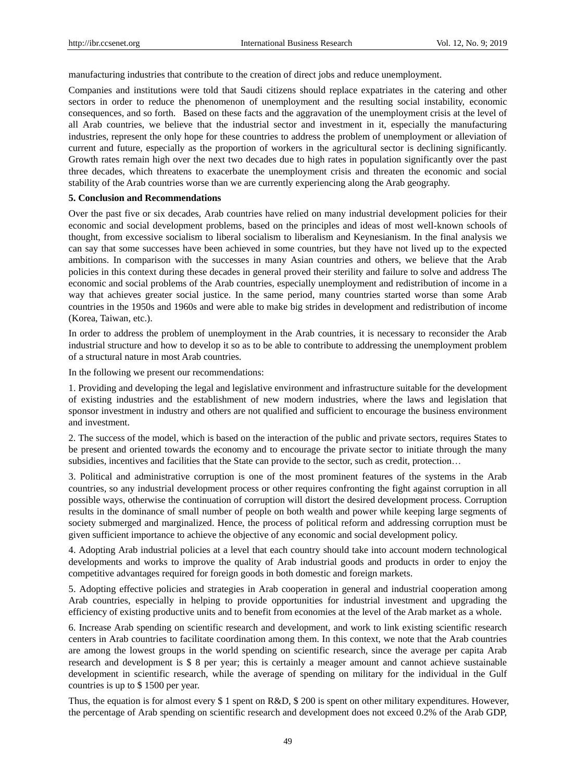manufacturing industries that contribute to the creation of direct jobs and reduce unemployment.

Companies and institutions were told that Saudi citizens should replace expatriates in the catering and other sectors in order to reduce the phenomenon of unemployment and the resulting social instability, economic consequences, and so forth. Based on these facts and the aggravation of the unemployment crisis at the level of all Arab countries, we believe that the industrial sector and investment in it, especially the manufacturing industries, represent the only hope for these countries to address the problem of unemployment or alleviation of current and future, especially as the proportion of workers in the agricultural sector is declining significantly. Growth rates remain high over the next two decades due to high rates in population significantly over the past three decades, which threatens to exacerbate the unemployment crisis and threaten the economic and social stability of the Arab countries worse than we are currently experiencing along the Arab geography.

#### **5. Conclusion and Recommendations**

Over the past five or six decades, Arab countries have relied on many industrial development policies for their economic and social development problems, based on the principles and ideas of most well-known schools of thought, from excessive socialism to liberal socialism to liberalism and Keynesianism. In the final analysis we can say that some successes have been achieved in some countries, but they have not lived up to the expected ambitions. In comparison with the successes in many Asian countries and others, we believe that the Arab policies in this context during these decades in general proved their sterility and failure to solve and address The economic and social problems of the Arab countries, especially unemployment and redistribution of income in a way that achieves greater social justice. In the same period, many countries started worse than some Arab countries in the 1950s and 1960s and were able to make big strides in development and redistribution of income (Korea, Taiwan, etc.).

In order to address the problem of unemployment in the Arab countries, it is necessary to reconsider the Arab industrial structure and how to develop it so as to be able to contribute to addressing the unemployment problem of a structural nature in most Arab countries.

In the following we present our recommendations:

1. Providing and developing the legal and legislative environment and infrastructure suitable for the development of existing industries and the establishment of new modern industries, where the laws and legislation that sponsor investment in industry and others are not qualified and sufficient to encourage the business environment and investment.

2. The success of the model, which is based on the interaction of the public and private sectors, requires States to be present and oriented towards the economy and to encourage the private sector to initiate through the many subsidies, incentives and facilities that the State can provide to the sector, such as credit, protection…

3. Political and administrative corruption is one of the most prominent features of the systems in the Arab countries, so any industrial development process or other requires confronting the fight against corruption in all possible ways, otherwise the continuation of corruption will distort the desired development process. Corruption results in the dominance of small number of people on both wealth and power while keeping large segments of society submerged and marginalized. Hence, the process of political reform and addressing corruption must be given sufficient importance to achieve the objective of any economic and social development policy.

4. Adopting Arab industrial policies at a level that each country should take into account modern technological developments and works to improve the quality of Arab industrial goods and products in order to enjoy the competitive advantages required for foreign goods in both domestic and foreign markets.

5. Adopting effective policies and strategies in Arab cooperation in general and industrial cooperation among Arab countries, especially in helping to provide opportunities for industrial investment and upgrading the efficiency of existing productive units and to benefit from economies at the level of the Arab market as a whole.

6. Increase Arab spending on scientific research and development, and work to link existing scientific research centers in Arab countries to facilitate coordination among them. In this context, we note that the Arab countries are among the lowest groups in the world spending on scientific research, since the average per capita Arab research and development is \$ 8 per year; this is certainly a meager amount and cannot achieve sustainable development in scientific research, while the average of spending on military for the individual in the Gulf countries is up to \$ 1500 per year.

Thus, the equation is for almost every \$ 1 spent on R&D, \$ 200 is spent on other military expenditures. However, the percentage of Arab spending on scientific research and development does not exceed 0.2% of the Arab GDP,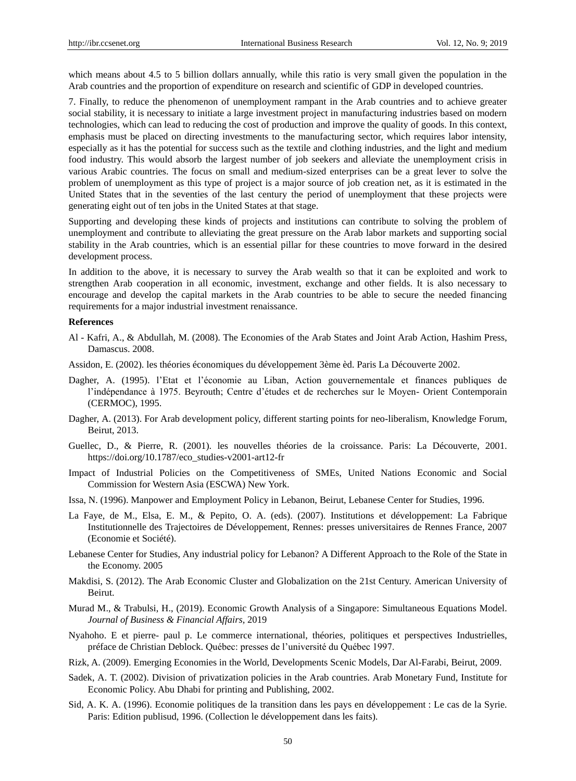which means about 4.5 to 5 billion dollars annually, while this ratio is very small given the population in the Arab countries and the proportion of expenditure on research and scientific of GDP in developed countries.

7. Finally, to reduce the phenomenon of unemployment rampant in the Arab countries and to achieve greater social stability, it is necessary to initiate a large investment project in manufacturing industries based on modern technologies, which can lead to reducing the cost of production and improve the quality of goods. In this context, emphasis must be placed on directing investments to the manufacturing sector, which requires labor intensity, especially as it has the potential for success such as the textile and clothing industries, and the light and medium food industry. This would absorb the largest number of job seekers and alleviate the unemployment crisis in various Arabic countries. The focus on small and medium-sized enterprises can be a great lever to solve the problem of unemployment as this type of project is a major source of job creation net, as it is estimated in the United States that in the seventies of the last century the period of unemployment that these projects were generating eight out of ten jobs in the United States at that stage.

Supporting and developing these kinds of projects and institutions can contribute to solving the problem of unemployment and contribute to alleviating the great pressure on the Arab labor markets and supporting social stability in the Arab countries, which is an essential pillar for these countries to move forward in the desired development process.

In addition to the above, it is necessary to survey the Arab wealth so that it can be exploited and work to strengthen Arab cooperation in all economic, investment, exchange and other fields. It is also necessary to encourage and develop the capital markets in the Arab countries to be able to secure the needed financing requirements for a major industrial investment renaissance.

#### **References**

- Al Kafri, A., & Abdullah, M. (2008). The Economies of the Arab States and Joint Arab Action, Hashim Press, Damascus. 2008.
- Assidon, E. (2002). les théories économiques du développement 3ème èd. Paris La Découverte 2002.
- Dagher, A. (1995). l'Etat et l'économie au Liban, Action gouvernementale et finances publiques de l'indépendance à 1975. Beyrouth; Centre d'études et de recherches sur le Moyen- Orient Contemporain (CERMOC), 1995.
- Dagher, A. (2013). For Arab development policy, different starting points for neo-liberalism, Knowledge Forum, Beirut, 2013.
- Guellec, D., & Pierre, R. (2001). les nouvelles théories de la croissance. Paris: La Découverte, 2001. https://doi.org/10.1787/eco\_studies-v2001-art12-fr
- Impact of Industrial Policies on the Competitiveness of SMEs, United Nations Economic and Social Commission for Western Asia (ESCWA) New York.
- Issa, N. (1996). Manpower and Employment Policy in Lebanon, Beirut, Lebanese Center for Studies, 1996.
- La Faye, de M., Elsa, E. M., & Pepito, O. A. (eds). (2007). Institutions et développement: La Fabrique Institutionnelle des Trajectoires de Développement, Rennes: presses universitaires de Rennes France, 2007 (Economie et Soci é é).
- Lebanese Center for Studies, Any industrial policy for Lebanon? A Different Approach to the Role of the State in the Economy. 2005
- Makdisi, S. (2012). The Arab Economic Cluster and Globalization on the 21st Century. American University of Beirut.
- Murad M., & Trabulsi, H., (2019). Economic Growth Analysis of a Singapore: Simultaneous Equations Model. *Journal of Business & Financial Affairs,* 2019
- Nyahoho. E et pierre- paul p. Le commerce international, théories, politiques et perspectives Industrielles, préface de Christian Deblock. Québec: presses de l'université du Québec 1997.
- Rizk, A. (2009). Emerging Economies in the World, Developments Scenic Models, Dar Al-Farabi, Beirut, 2009.
- Sadek, A. T. (2002). Division of privatization policies in the Arab countries. Arab Monetary Fund, Institute for Economic Policy. Abu Dhabi for printing and Publishing, 2002.
- Sid, A. K. A. (1996). Economie politiques de la transition dans les pays en développement : Le cas de la Syrie. Paris: Edition publisud, 1996. (Collection le développement dans les faits).